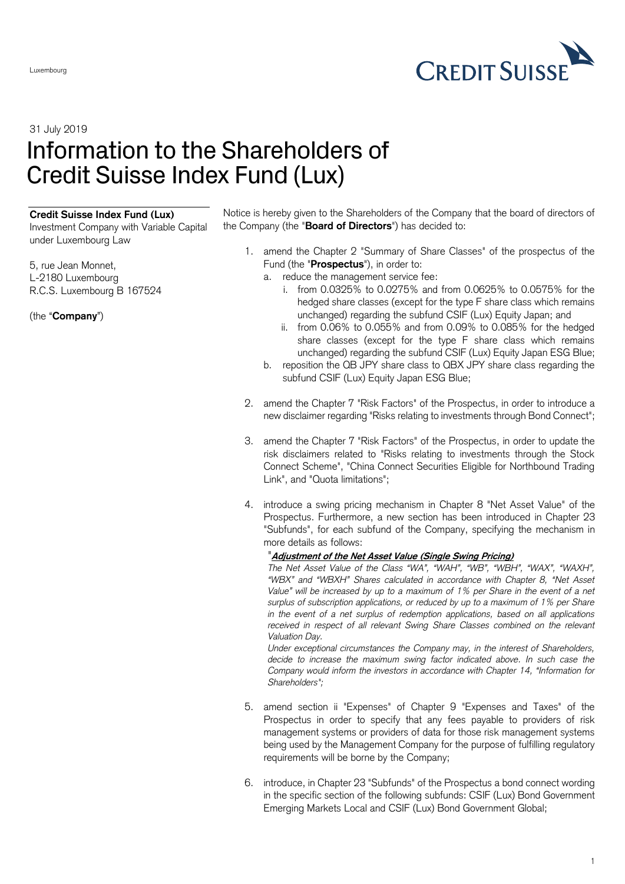

31 July 2019

## Information to the Shareholders of Credit Suisse Index Fund (Lux)

## **Credit Suisse Index Fund (Lux)**

Investment Company with Variable Capital under Luxembourg Law

5, rue Jean Monnet, L-2180 Luxembourg R.C.S. Luxembourg B 167524

(the "**Company**")

Notice is hereby given to the Shareholders of the Company that the board of directors of the Company (the "**Board of Directors**") has decided to:

- 1. amend the Chapter 2 "Summary of Share Classes" of the prospectus of the Fund (the "**Prospectus**"), in order to:
	- a. reduce the management service fee:
		- i. from 0.0325% to 0.0275% and from 0.0625% to 0.0575% for the hedged share classes (except for the type F share class which remains unchanged) regarding the subfund CSIF (Lux) Equity Japan; and
		- ii. from 0.06% to 0.055% and from 0.09% to 0.085% for the hedged share classes (except for the type F share class which remains unchanged) regarding the subfund CSIF (Lux) Equity Japan ESG Blue;
	- b. reposition the QB JPY share class to QBX JPY share class regarding the subfund CSIF (Lux) Equity Japan ESG Blue;
- 2. amend the Chapter 7 "Risk Factors" of the Prospectus, in order to introduce a new disclaimer regarding "Risks relating to investments through Bond Connect";
- 3. amend the Chapter 7 "Risk Factors" of the Prospectus, in order to update the risk disclaimers related to "Risks relating to investments through the Stock Connect Scheme", "China Connect Securities Eligible for Northbound Trading Link", and "Quota limitations";
- 4. introduce a swing pricing mechanism in Chapter 8 "Net Asset Value" of the Prospectus. Furthermore, a new section has been introduced in Chapter 23 "Subfunds", for each subfund of the Company, specifying the mechanism in more details as follows:

## "**Adjustment of the Net Asset Value (Single Swing Pricing)**

*The Net Asset Value of the Class "WA", "WAH", "WB", "WBH", "WAX", "WAXH", "WBX" and "WBXH" Shares calculated in accordance with Chapter 8, "Net Asset Value" will be increased by up to a maximum of 1% per Share in the event of a net surplus of subscription applications, or reduced by up to a maximum of 1% per Share in the event of a net surplus of redemption applications, based on all applications received in respect of all relevant Swing Share Classes combined on the relevant Valuation Day.* 

*Under exceptional circumstances the Company may, in the interest of Shareholders, decide to increase the maximum swing factor indicated above. In such case the Company would inform the investors in accordance with Chapter 14, "Information for Shareholders";*

- 5. amend section ii "Expenses" of Chapter 9 "Expenses and Taxes" of the Prospectus in order to specify that any fees payable to providers of risk management systems or providers of data for those risk management systems being used by the Management Company for the purpose of fulfilling regulatory requirements will be borne by the Company;
- 6. introduce, in Chapter 23 "Subfunds" of the Prospectus a bond connect wording in the specific section of the following subfunds: CSIF (Lux) Bond Government Emerging Markets Local and CSIF (Lux) Bond Government Global;